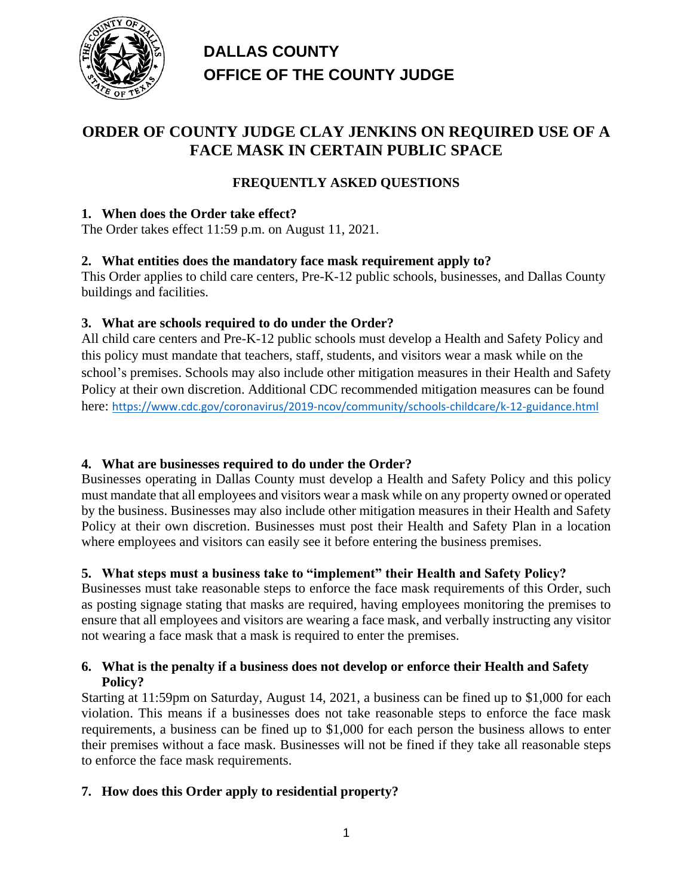

## **DALLAS COUNTY OFFICE OF THE COUNTY JUDGE**

## **ORDER OF COUNTY JUDGE CLAY JENKINS ON REQUIRED USE OF A FACE MASK IN CERTAIN PUBLIC SPACE**

## **FREQUENTLY ASKED QUESTIONS**

### **1. When does the Order take effect?**

The Order takes effect 11:59 p.m. on August 11, 2021.

## **2. What entities does the mandatory face mask requirement apply to?**

This Order applies to child care centers, Pre-K-12 public schools, businesses, and Dallas County buildings and facilities.

## **3. What are schools required to do under the Order?**

All child care centers and Pre-K-12 public schools must develop a Health and Safety Policy and this policy must mandate that teachers, staff, students, and visitors wear a mask while on the school's premises. Schools may also include other mitigation measures in their Health and Safety Policy at their own discretion. Additional CDC recommended mitigation measures can be found here: [https://www.cdc.gov/coronavirus/2019-ncov/community/schools-childcare/k-12-guidance.html](https://gcc02.safelinks.protection.outlook.com/?url=https%3A%2F%2Fwww.cdc.gov%2Fcoronavirus%2F2019-ncov%2Fcommunity%2Fschools-childcare%2Fk-12-guidance.html&data=04%7C01%7CRuby.Blum%40dallascounty.org%7C1c646c59c46f41a3fe7108d95cfd2d82%7C51adcfad72f1479cb28f52412e04014b%7C0%7C0%7C637643064714847859%7CUnknown%7CTWFpbGZsb3d8eyJWIjoiMC4wLjAwMDAiLCJQIjoiV2luMzIiLCJBTiI6Ik1haWwiLCJXVCI6Mn0%3D%7C1000&sdata=6AXb4Y9H8HkYY1G%2FgOx7pJD15nPhwPXOKa%2Fd8BK3FWY%3D&reserved=0)

#### **4. What are businesses required to do under the Order?**

Businesses operating in Dallas County must develop a Health and Safety Policy and this policy must mandate that all employees and visitors wear a mask while on any property owned or operated by the business. Businesses may also include other mitigation measures in their Health and Safety Policy at their own discretion. Businesses must post their Health and Safety Plan in a location where employees and visitors can easily see it before entering the business premises.

## **5. What steps must a business take to "implement" their Health and Safety Policy?**

Businesses must take reasonable steps to enforce the face mask requirements of this Order, such as posting signage stating that masks are required, having employees monitoring the premises to ensure that all employees and visitors are wearing a face mask, and verbally instructing any visitor not wearing a face mask that a mask is required to enter the premises.

#### **6. What is the penalty if a business does not develop or enforce their Health and Safety Policy?**

Starting at 11:59pm on Saturday, August 14, 2021, a business can be fined up to \$1,000 for each violation. This means if a businesses does not take reasonable steps to enforce the face mask requirements, a business can be fined up to \$1,000 for each person the business allows to enter their premises without a face mask. Businesses will not be fined if they take all reasonable steps to enforce the face mask requirements.

#### **7. How does this Order apply to residential property?**